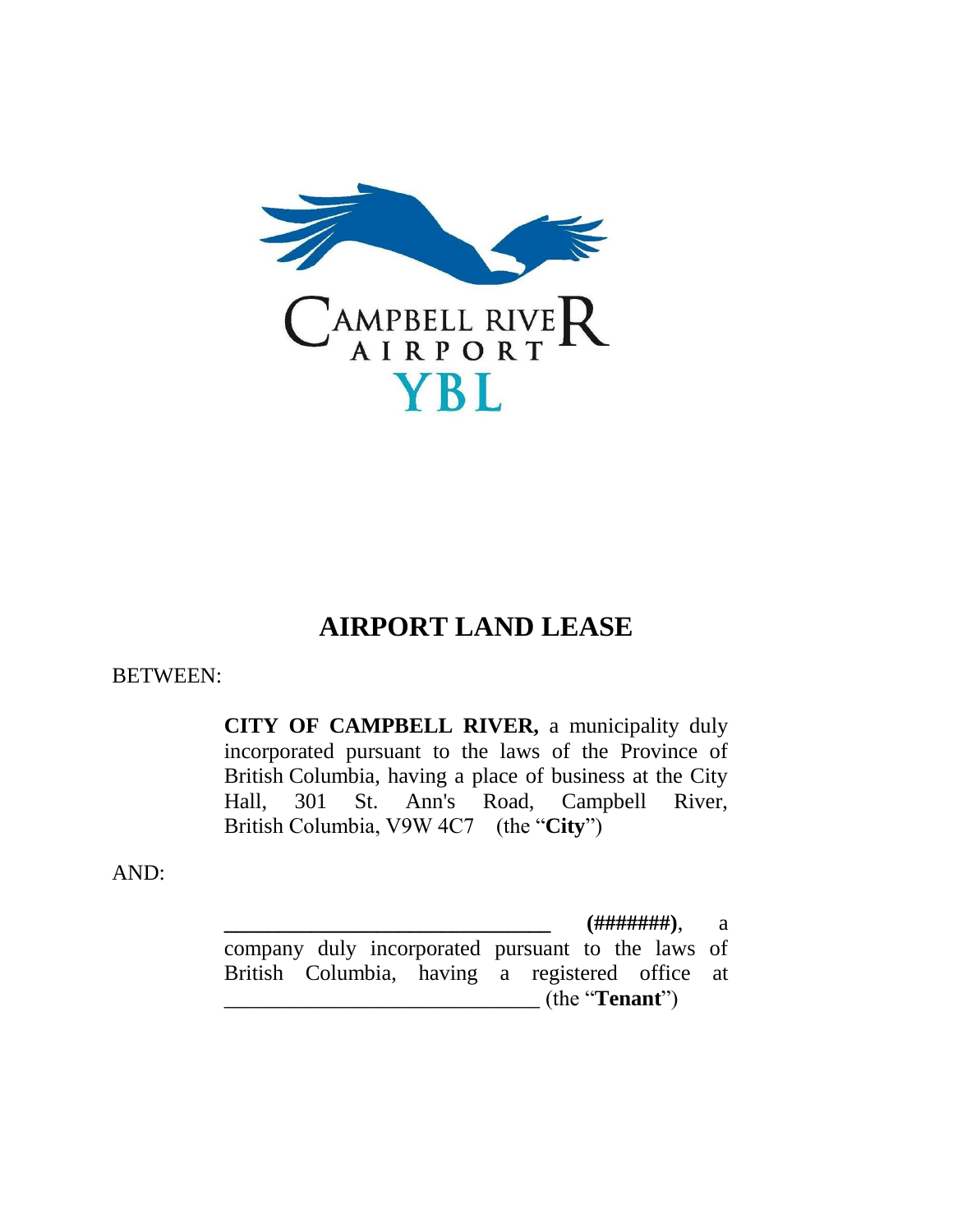

## **AIRPORT LAND LEASE**

## BETWEEN:

**CITY OF CAMPBELL RIVER,** a municipality duly incorporated pursuant to the laws of the Province of British Columbia, having a place of business at the City Hall, 301 St. Ann's Road, Campbell River, British Columbia, V9W 4C7 (the "**City**")

AND:

**\_\_\_\_\_\_\_\_\_\_\_\_\_\_\_\_\_\_\_\_\_\_\_\_\_\_\_\_\_\_ (#######)**, a company duly incorporated pursuant to the laws of British Columbia, having a registered office at \_\_\_\_\_\_\_\_\_\_\_\_\_\_\_\_\_\_\_\_\_\_\_\_\_\_\_\_\_ (the "**Tenant**")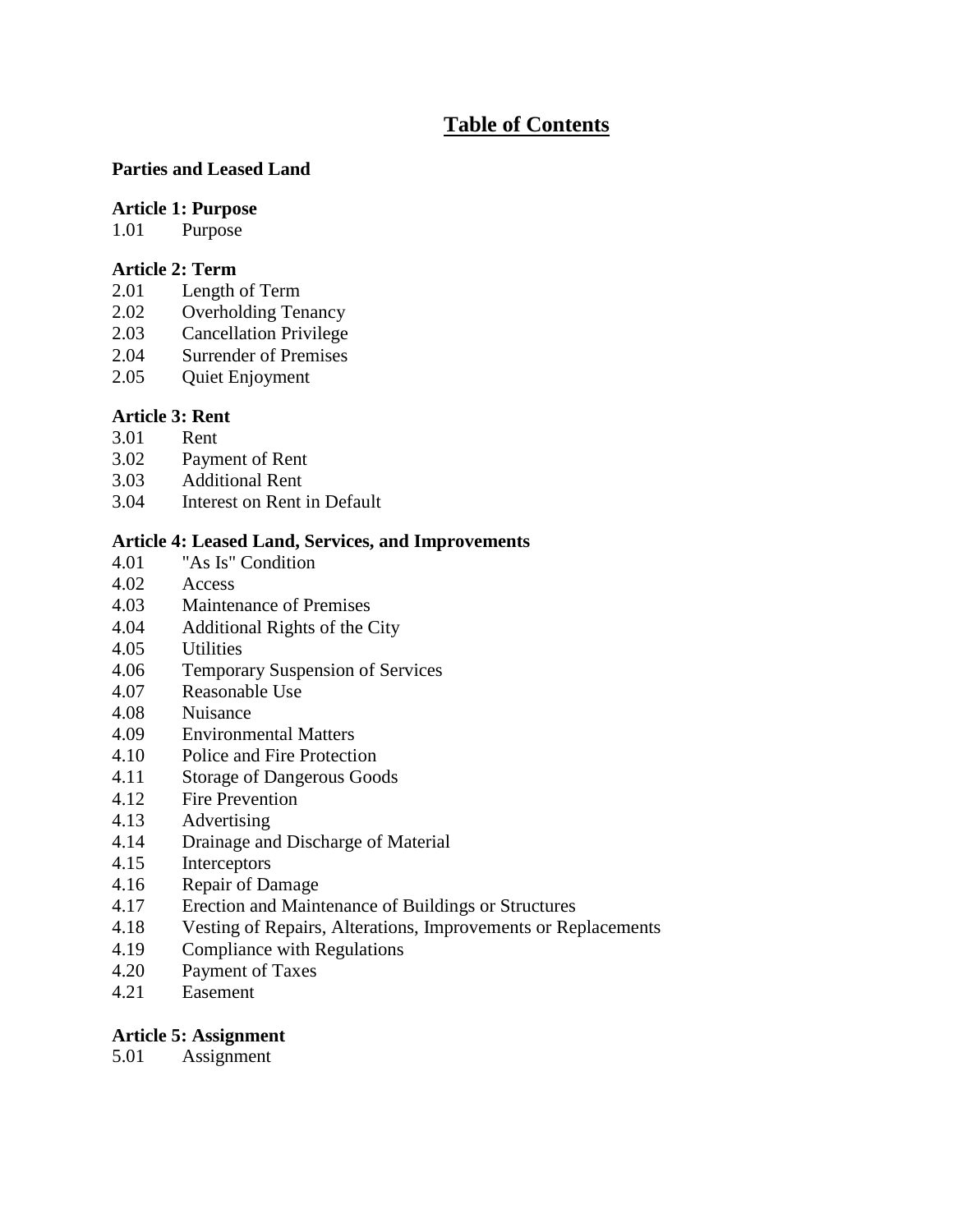## **Table of Contents**

#### **Parties and Leased Land**

#### **Article 1: Purpose**

1.01 Purpose

#### **Article 2: Term**

- 2.01 Length of Term
- 2.02 Overholding Tenancy
- 2.03 Cancellation Privilege
- 2.04 Surrender of Premises
- 2.05 Quiet Enjoyment

# **Article 3: Rent**<br>3.01 **Rent**

- Rent
- 3.02 Payment of Rent
- 3.03 Additional Rent
- 3.04 Interest on Rent in Default

## **Article 4: Leased Land, Services, and Improvements**

- 4.01 "As Is" Condition
- 4.02 Access
- 4.03 Maintenance of Premises
- 4.04 Additional Rights of the City
- 4.05 Utilities
- 4.06 Temporary Suspension of Services
- 4.07 Reasonable Use
- 4.08 Nuisance
- 4.09 Environmental Matters
- 4.10 Police and Fire Protection
- 4.11 Storage of Dangerous Goods
- 4.12 Fire Prevention
- 4.13 Advertising
- 4.14 Drainage and Discharge of Material
- 4.15 Interceptors
- 4.16 Repair of Damage
- 4.17 Erection and Maintenance of Buildings or Structures
- 4.18 Vesting of Repairs, Alterations, Improvements or Replacements
- 4.19 Compliance with Regulations
- 4.20 Payment of Taxes
- 4.21 Easement

#### **Article 5: Assignment**

5.01 Assignment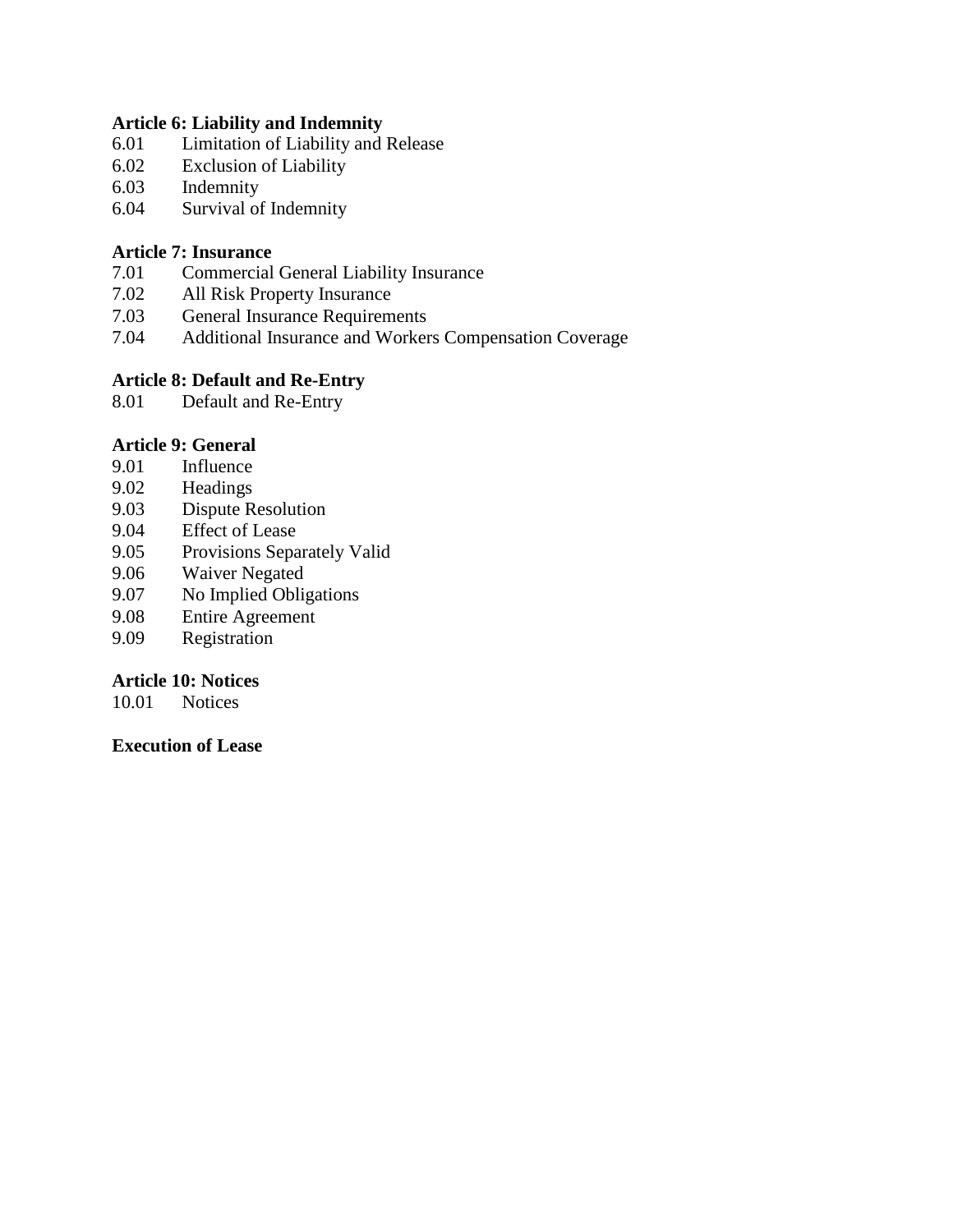#### **Article 6: Liability and Indemnity**

- 6.01 Limitation of Liability and Release
- 6.02 Exclusion of Liability
- 6.03 Indemnity
- 6.04 Survival of Indemnity

#### **Article 7: Insurance**

- 7.01 Commercial General Liability Insurance
- 7.02 All Risk Property Insurance
- 7.03 General Insurance Requirements<br>7.04 Additional Insurance and Worker
- Additional Insurance and Workers Compensation Coverage

#### **Article 8: Default and Re-Entry**

8.01 Default and Re-Entry

#### **Article 9: General**

- 9.01 Influence
- 9.02 Headings
- 9.03 Dispute Resolution
- 9.04 Effect of Lease
- 9.05 Provisions Separately Valid
- 9.06 Waiver Negated
- 9.07 No Implied Obligations
- 9.08 Entire Agreement
- 9.09 Registration

#### **Article 10: Notices**

10.01 Notices

#### **Execution of Lease**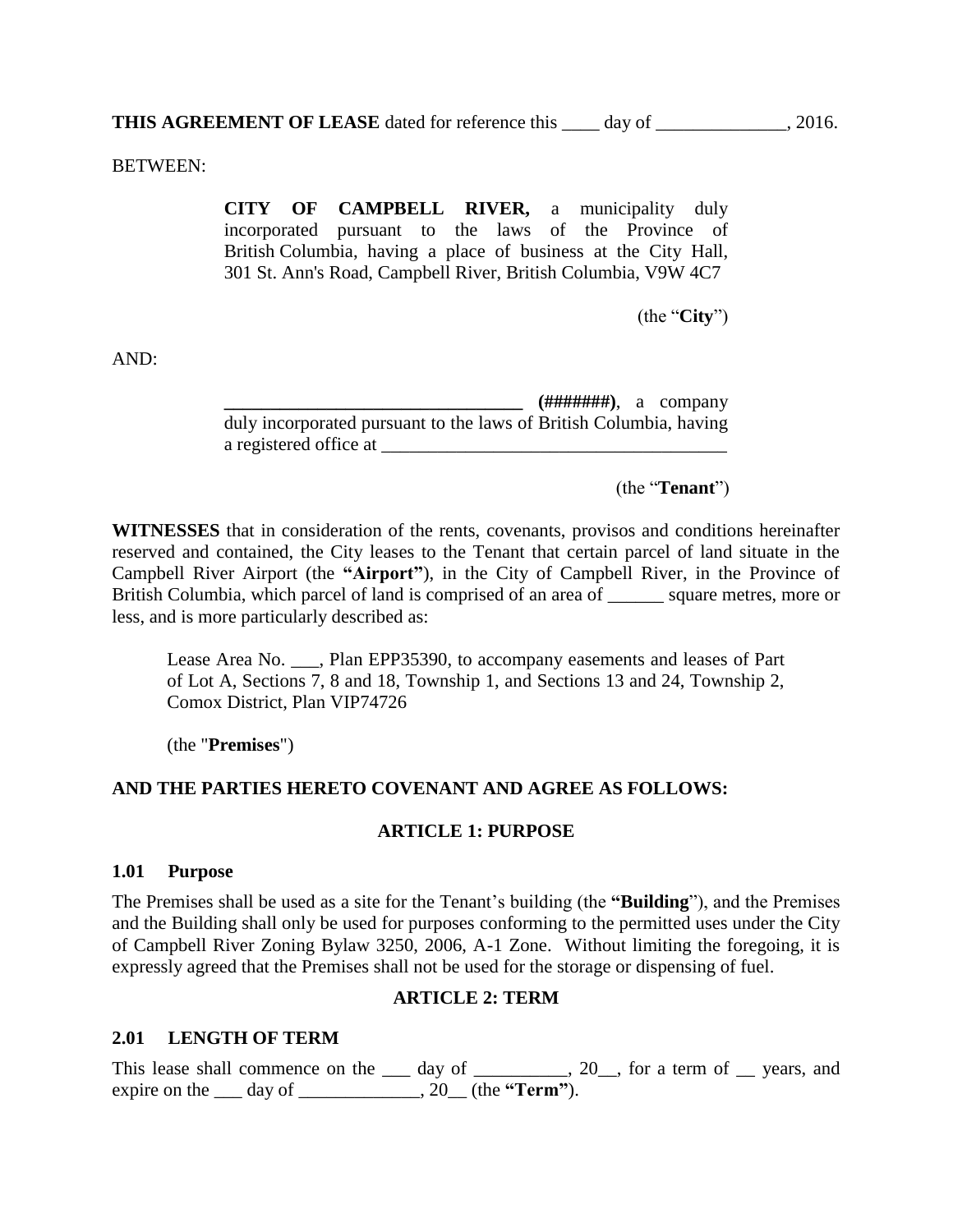BETWEEN:

**CITY OF CAMPBELL RIVER,** a municipality duly incorporated pursuant to the laws of the Province of British Columbia, having a place of business at the City Hall, 301 St. Ann's Road, Campbell River, British Columbia, V9W 4C7

(the "**City**")

AND:

**\_\_\_\_\_\_\_\_\_\_\_\_\_\_\_\_\_\_\_\_\_\_\_\_\_\_\_\_\_\_\_\_ (#######)**, a company duly incorporated pursuant to the laws of British Columbia, having a registered office at

(the "**Tenant**")

**WITNESSES** that in consideration of the rents, covenants, provisos and conditions hereinafter reserved and contained, the City leases to the Tenant that certain parcel of land situate in the Campbell River Airport (the **"Airport"**), in the City of Campbell River, in the Province of British Columbia, which parcel of land is comprised of an area of \_\_\_\_\_\_ square metres, more or less, and is more particularly described as:

Lease Area No. . . Plan EPP35390, to accompany easements and leases of Part of Lot A, Sections 7, 8 and 18, Township 1, and Sections 13 and 24, Township 2, Comox District, Plan VIP74726

(the "**Premises**")

#### **AND THE PARTIES HERETO COVENANT AND AGREE AS FOLLOWS:**

#### **ARTICLE 1: PURPOSE**

#### **1.01 Purpose**

The Premises shall be used as a site for the Tenant's building (the **"Building**"), and the Premises and the Building shall only be used for purposes conforming to the permitted uses under the City of Campbell River Zoning Bylaw 3250, 2006, A-1 Zone. Without limiting the foregoing, it is expressly agreed that the Premises shall not be used for the storage or dispensing of fuel.

#### **ARTICLE 2: TERM**

#### **2.01 LENGTH OF TERM**

This lease shall commence on the  $\_\_$  day of  $\_\_$ , 20, for a term of  $\_\_$  years, and expire on the \_\_\_ day of \_\_\_\_\_\_\_\_\_\_\_\_\_, 20\_\_ (the **"Term"**).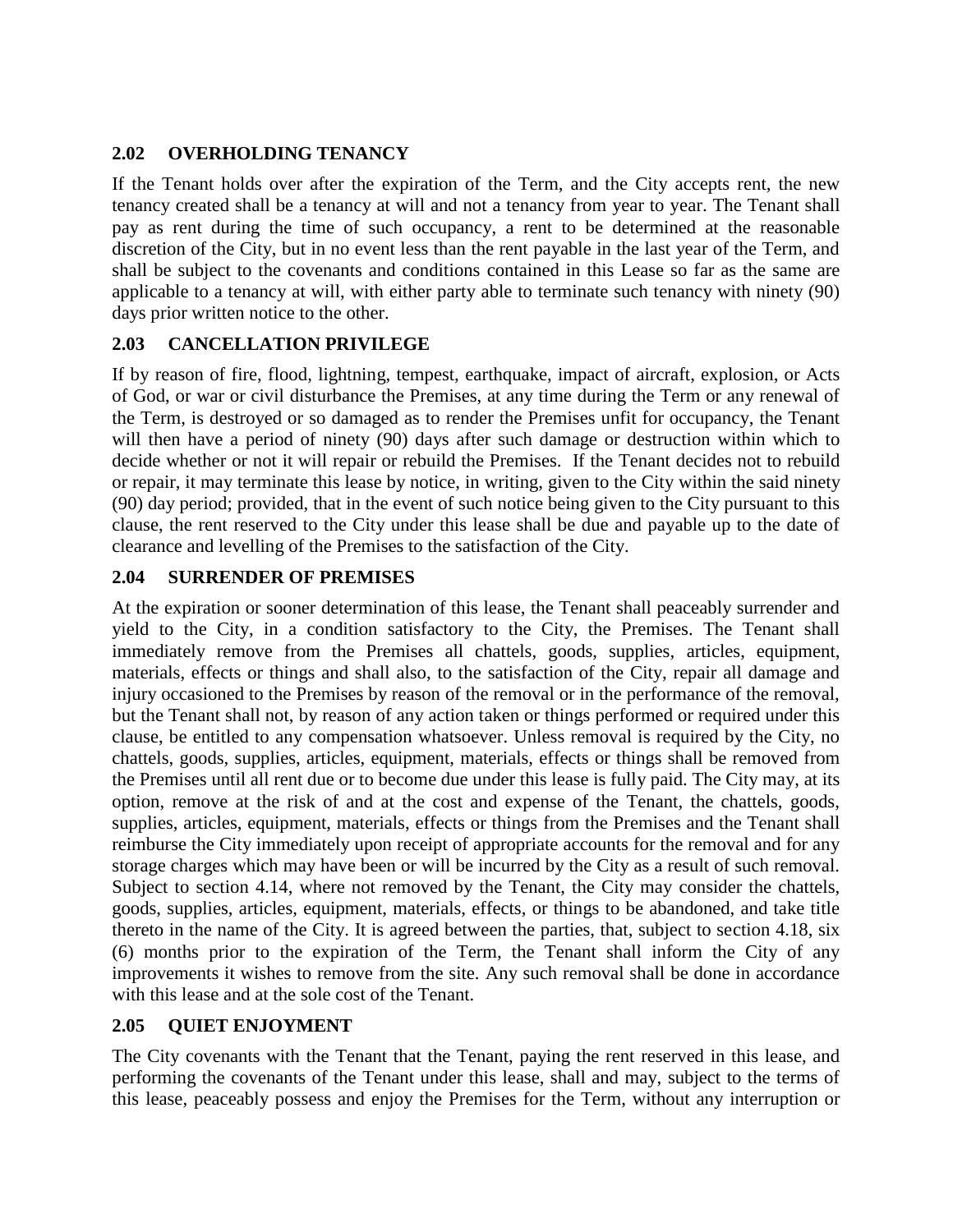#### **2.02 OVERHOLDING TENANCY**

If the Tenant holds over after the expiration of the Term, and the City accepts rent, the new tenancy created shall be a tenancy at will and not a tenancy from year to year. The Tenant shall pay as rent during the time of such occupancy, a rent to be determined at the reasonable discretion of the City, but in no event less than the rent payable in the last year of the Term, and shall be subject to the covenants and conditions contained in this Lease so far as the same are applicable to a tenancy at will, with either party able to terminate such tenancy with ninety (90) days prior written notice to the other.

## **2.03 CANCELLATION PRIVILEGE**

If by reason of fire, flood, lightning, tempest, earthquake, impact of aircraft, explosion, or Acts of God, or war or civil disturbance the Premises, at any time during the Term or any renewal of the Term, is destroyed or so damaged as to render the Premises unfit for occupancy, the Tenant will then have a period of ninety (90) days after such damage or destruction within which to decide whether or not it will repair or rebuild the Premises. If the Tenant decides not to rebuild or repair, it may terminate this lease by notice, in writing, given to the City within the said ninety (90) day period; provided, that in the event of such notice being given to the City pursuant to this clause, the rent reserved to the City under this lease shall be due and payable up to the date of clearance and levelling of the Premises to the satisfaction of the City.

## **2.04 SURRENDER OF PREMISES**

At the expiration or sooner determination of this lease, the Tenant shall peaceably surrender and yield to the City, in a condition satisfactory to the City, the Premises. The Tenant shall immediately remove from the Premises all chattels, goods, supplies, articles, equipment, materials, effects or things and shall also, to the satisfaction of the City, repair all damage and injury occasioned to the Premises by reason of the removal or in the performance of the removal, but the Tenant shall not, by reason of any action taken or things performed or required under this clause, be entitled to any compensation whatsoever. Unless removal is required by the City, no chattels, goods, supplies, articles, equipment, materials, effects or things shall be removed from the Premises until all rent due or to become due under this lease is fully paid. The City may, at its option, remove at the risk of and at the cost and expense of the Tenant, the chattels, goods, supplies, articles, equipment, materials, effects or things from the Premises and the Tenant shall reimburse the City immediately upon receipt of appropriate accounts for the removal and for any storage charges which may have been or will be incurred by the City as a result of such removal. Subject to section 4.14, where not removed by the Tenant, the City may consider the chattels, goods, supplies, articles, equipment, materials, effects, or things to be abandoned, and take title thereto in the name of the City. It is agreed between the parties, that, subject to section 4.18, six (6) months prior to the expiration of the Term, the Tenant shall inform the City of any improvements it wishes to remove from the site. Any such removal shall be done in accordance with this lease and at the sole cost of the Tenant.

#### **2.05 QUIET ENJOYMENT**

The City covenants with the Tenant that the Tenant, paying the rent reserved in this lease, and performing the covenants of the Tenant under this lease, shall and may, subject to the terms of this lease, peaceably possess and enjoy the Premises for the Term, without any interruption or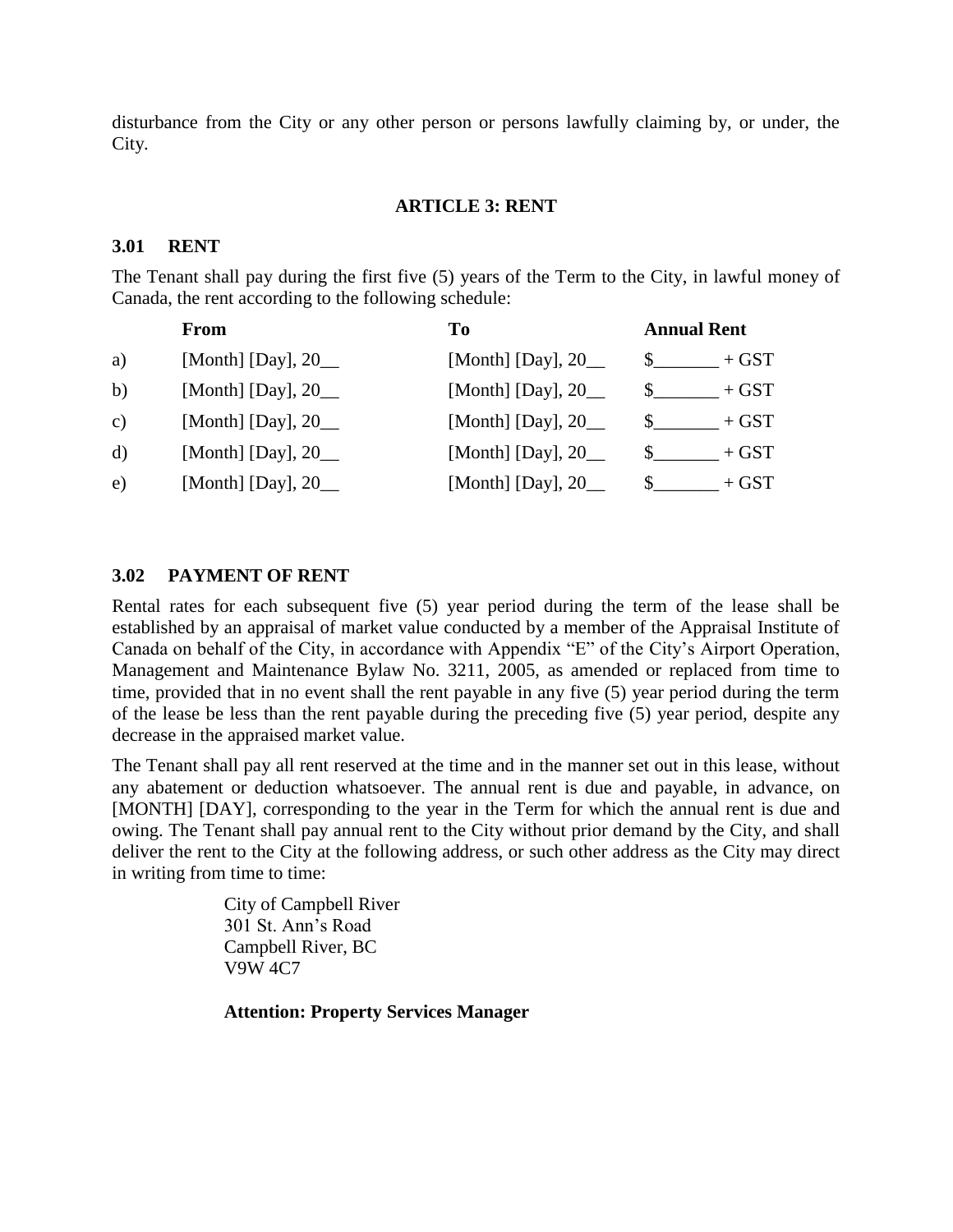disturbance from the City or any other person or persons lawfully claiming by, or under, the City.

#### **ARTICLE 3: RENT**

#### **3.01 RENT**

The Tenant shall pay during the first five (5) years of the Term to the City, in lawful money of Canada, the rent according to the following schedule:

|              | <b>From</b>            | T <sub>0</sub>         | <b>Annual Rent</b>      |
|--------------|------------------------|------------------------|-------------------------|
| a)           | [Month] [Day], $20$ __ | [Month] [Day], $20$ __ | $+$ GST                 |
| b)           | [Month] [Day], $20$ __ | [Month] [Day], $20$ __ | $+$ GST<br>$\mathbb{S}$ |
| $\mathbf{c}$ | [Month] [Day], $20$ __ | [Month] [Day], $20$ __ | $+$ GST                 |
| $\mathbf{d}$ | [Month] [Day], $20$ __ | [Month] [Day], $20$ __ | $+$ GST                 |
| e)           | [Month] [Day], $20$ __ | [Month] [Day], $20$ __ | $+$ GST                 |

#### **3.02 PAYMENT OF RENT**

Rental rates for each subsequent five (5) year period during the term of the lease shall be established by an appraisal of market value conducted by a member of the Appraisal Institute of Canada on behalf of the City, in accordance with Appendix "E" of the City's Airport Operation, Management and Maintenance Bylaw No. 3211, 2005, as amended or replaced from time to time, provided that in no event shall the rent payable in any five (5) year period during the term of the lease be less than the rent payable during the preceding five (5) year period, despite any decrease in the appraised market value.

The Tenant shall pay all rent reserved at the time and in the manner set out in this lease, without any abatement or deduction whatsoever. The annual rent is due and payable, in advance, on [MONTH] [DAY], corresponding to the year in the Term for which the annual rent is due and owing. The Tenant shall pay annual rent to the City without prior demand by the City, and shall deliver the rent to the City at the following address, or such other address as the City may direct in writing from time to time:

> City of Campbell River 301 St. Ann's Road Campbell River, BC V9W 4C7

**Attention: Property Services Manager**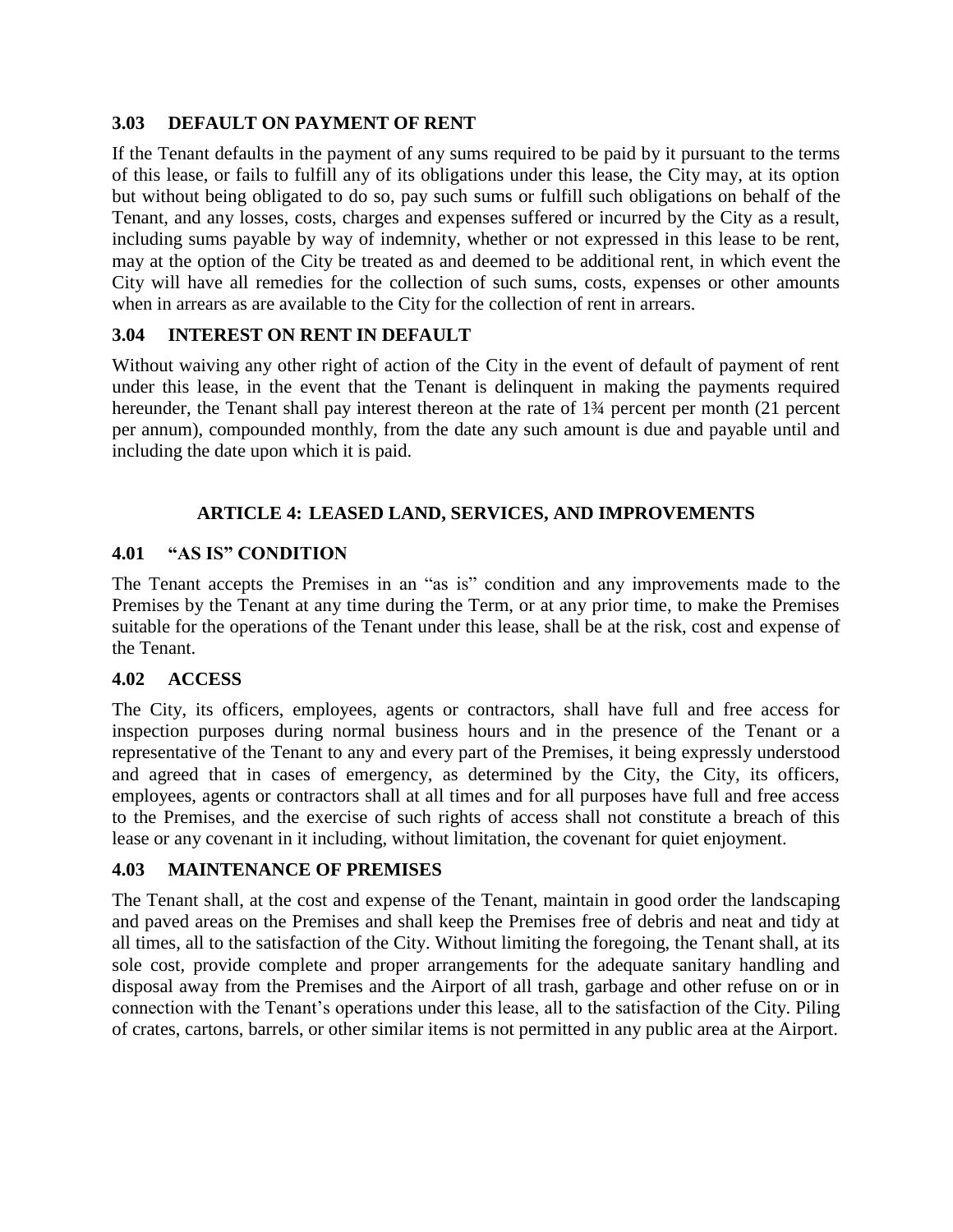#### **3.03 DEFAULT ON PAYMENT OF RENT**

If the Tenant defaults in the payment of any sums required to be paid by it pursuant to the terms of this lease, or fails to fulfill any of its obligations under this lease, the City may, at its option but without being obligated to do so, pay such sums or fulfill such obligations on behalf of the Tenant, and any losses, costs, charges and expenses suffered or incurred by the City as a result, including sums payable by way of indemnity, whether or not expressed in this lease to be rent, may at the option of the City be treated as and deemed to be additional rent, in which event the City will have all remedies for the collection of such sums, costs, expenses or other amounts when in arrears as are available to the City for the collection of rent in arrears.

## **3.04 INTEREST ON RENT IN DEFAULT**

Without waiving any other right of action of the City in the event of default of payment of rent under this lease, in the event that the Tenant is delinquent in making the payments required hereunder, the Tenant shall pay interest thereon at the rate of 1<sup>3</sup>/4 percent per month (21 percent per annum), compounded monthly, from the date any such amount is due and payable until and including the date upon which it is paid.

## **ARTICLE 4: LEASED LAND, SERVICES, AND IMPROVEMENTS**

#### **4.01 "AS IS" CONDITION**

The Tenant accepts the Premises in an "as is" condition and any improvements made to the Premises by the Tenant at any time during the Term, or at any prior time, to make the Premises suitable for the operations of the Tenant under this lease, shall be at the risk, cost and expense of the Tenant.

#### **4.02 ACCESS**

The City, its officers, employees, agents or contractors, shall have full and free access for inspection purposes during normal business hours and in the presence of the Tenant or a representative of the Tenant to any and every part of the Premises, it being expressly understood and agreed that in cases of emergency, as determined by the City, the City, its officers, employees, agents or contractors shall at all times and for all purposes have full and free access to the Premises, and the exercise of such rights of access shall not constitute a breach of this lease or any covenant in it including, without limitation, the covenant for quiet enjoyment.

#### **4.03 MAINTENANCE OF PREMISES**

The Tenant shall, at the cost and expense of the Tenant, maintain in good order the landscaping and paved areas on the Premises and shall keep the Premises free of debris and neat and tidy at all times, all to the satisfaction of the City. Without limiting the foregoing, the Tenant shall, at its sole cost, provide complete and proper arrangements for the adequate sanitary handling and disposal away from the Premises and the Airport of all trash, garbage and other refuse on or in connection with the Tenant's operations under this lease, all to the satisfaction of the City. Piling of crates, cartons, barrels, or other similar items is not permitted in any public area at the Airport.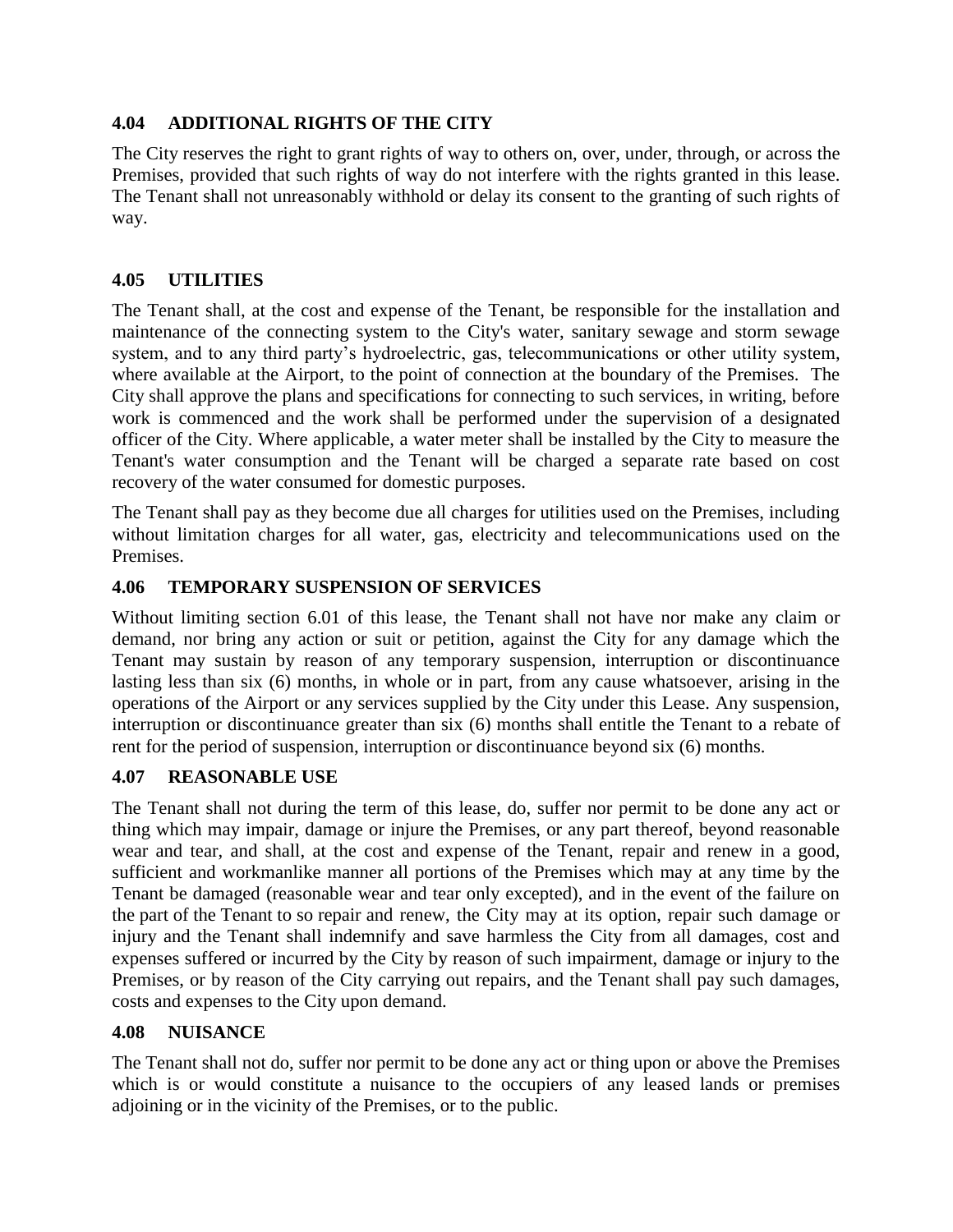#### **4.04 ADDITIONAL RIGHTS OF THE CITY**

The City reserves the right to grant rights of way to others on, over, under, through, or across the Premises, provided that such rights of way do not interfere with the rights granted in this lease. The Tenant shall not unreasonably withhold or delay its consent to the granting of such rights of way.

## **4.05 UTILITIES**

The Tenant shall, at the cost and expense of the Tenant, be responsible for the installation and maintenance of the connecting system to the City's water, sanitary sewage and storm sewage system, and to any third party's hydroelectric, gas, telecommunications or other utility system, where available at the Airport, to the point of connection at the boundary of the Premises. The City shall approve the plans and specifications for connecting to such services, in writing, before work is commenced and the work shall be performed under the supervision of a designated officer of the City. Where applicable, a water meter shall be installed by the City to measure the Tenant's water consumption and the Tenant will be charged a separate rate based on cost recovery of the water consumed for domestic purposes.

The Tenant shall pay as they become due all charges for utilities used on the Premises, including without limitation charges for all water, gas, electricity and telecommunications used on the Premises.

## **4.06 TEMPORARY SUSPENSION OF SERVICES**

Without limiting section 6.01 of this lease, the Tenant shall not have nor make any claim or demand, nor bring any action or suit or petition, against the City for any damage which the Tenant may sustain by reason of any temporary suspension, interruption or discontinuance lasting less than six (6) months, in whole or in part, from any cause whatsoever, arising in the operations of the Airport or any services supplied by the City under this Lease. Any suspension, interruption or discontinuance greater than six (6) months shall entitle the Tenant to a rebate of rent for the period of suspension, interruption or discontinuance beyond six (6) months.

#### **4.07 REASONABLE USE**

The Tenant shall not during the term of this lease, do, suffer nor permit to be done any act or thing which may impair, damage or injure the Premises, or any part thereof, beyond reasonable wear and tear, and shall, at the cost and expense of the Tenant, repair and renew in a good, sufficient and workmanlike manner all portions of the Premises which may at any time by the Tenant be damaged (reasonable wear and tear only excepted), and in the event of the failure on the part of the Tenant to so repair and renew, the City may at its option, repair such damage or injury and the Tenant shall indemnify and save harmless the City from all damages, cost and expenses suffered or incurred by the City by reason of such impairment, damage or injury to the Premises, or by reason of the City carrying out repairs, and the Tenant shall pay such damages, costs and expenses to the City upon demand.

#### **4.08 NUISANCE**

The Tenant shall not do, suffer nor permit to be done any act or thing upon or above the Premises which is or would constitute a nuisance to the occupiers of any leased lands or premises adjoining or in the vicinity of the Premises, or to the public.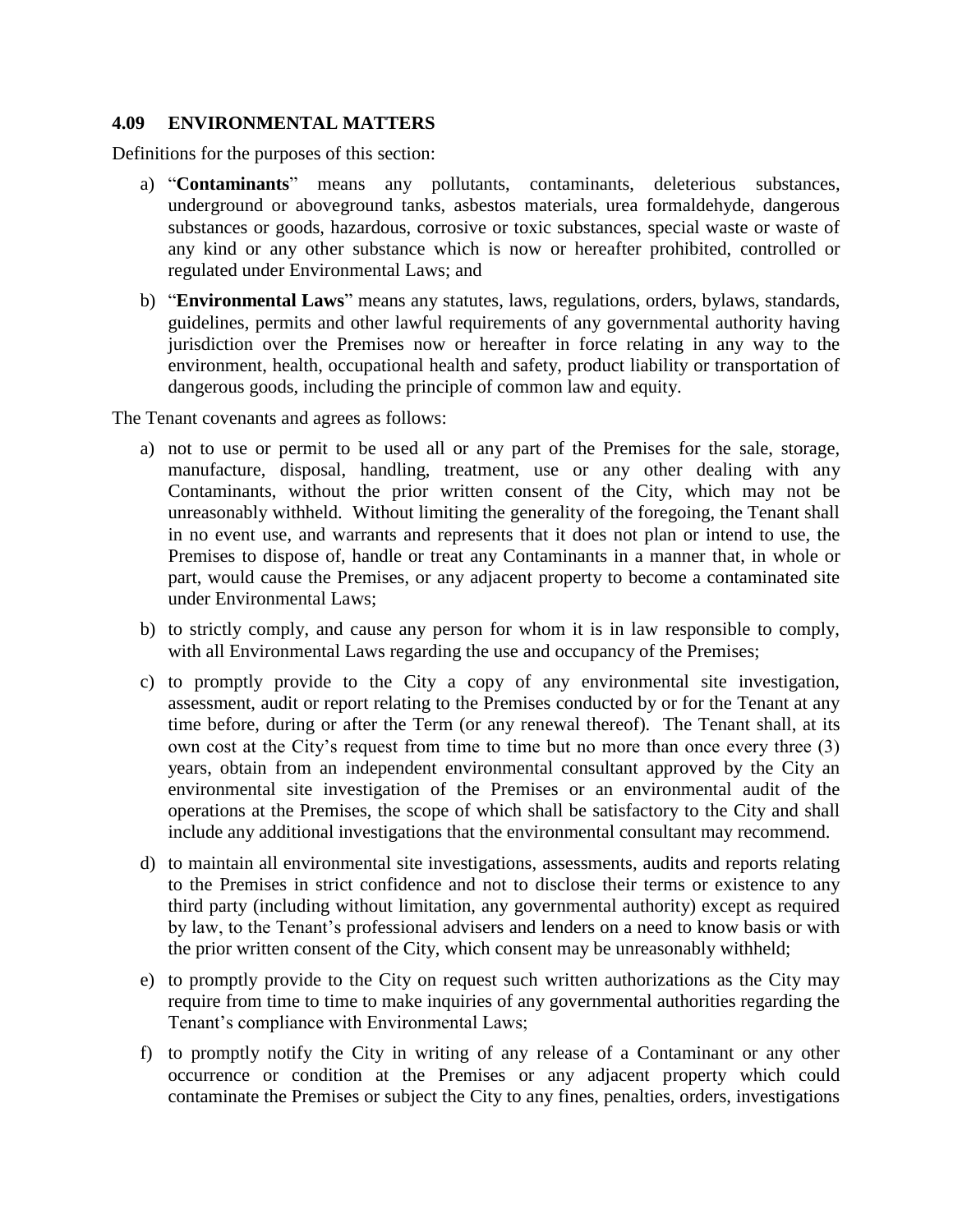#### **4.09 ENVIRONMENTAL MATTERS**

Definitions for the purposes of this section:

- a) "**Contaminants**" means any pollutants, contaminants, deleterious substances, underground or aboveground tanks, asbestos materials, urea formaldehyde, dangerous substances or goods, hazardous, corrosive or toxic substances, special waste or waste of any kind or any other substance which is now or hereafter prohibited, controlled or regulated under Environmental Laws; and
- b) "**Environmental Laws**" means any statutes, laws, regulations, orders, bylaws, standards, guidelines, permits and other lawful requirements of any governmental authority having jurisdiction over the Premises now or hereafter in force relating in any way to the environment, health, occupational health and safety, product liability or transportation of dangerous goods, including the principle of common law and equity.

The Tenant covenants and agrees as follows:

- a) not to use or permit to be used all or any part of the Premises for the sale, storage, manufacture, disposal, handling, treatment, use or any other dealing with any Contaminants, without the prior written consent of the City, which may not be unreasonably withheld. Without limiting the generality of the foregoing, the Tenant shall in no event use, and warrants and represents that it does not plan or intend to use, the Premises to dispose of, handle or treat any Contaminants in a manner that, in whole or part, would cause the Premises, or any adjacent property to become a contaminated site under Environmental Laws;
- b) to strictly comply, and cause any person for whom it is in law responsible to comply, with all Environmental Laws regarding the use and occupancy of the Premises;
- c) to promptly provide to the City a copy of any environmental site investigation, assessment, audit or report relating to the Premises conducted by or for the Tenant at any time before, during or after the Term (or any renewal thereof). The Tenant shall, at its own cost at the City's request from time to time but no more than once every three (3) years, obtain from an independent environmental consultant approved by the City an environmental site investigation of the Premises or an environmental audit of the operations at the Premises, the scope of which shall be satisfactory to the City and shall include any additional investigations that the environmental consultant may recommend.
- d) to maintain all environmental site investigations, assessments, audits and reports relating to the Premises in strict confidence and not to disclose their terms or existence to any third party (including without limitation, any governmental authority) except as required by law, to the Tenant's professional advisers and lenders on a need to know basis or with the prior written consent of the City, which consent may be unreasonably withheld;
- e) to promptly provide to the City on request such written authorizations as the City may require from time to time to make inquiries of any governmental authorities regarding the Tenant's compliance with Environmental Laws;
- f) to promptly notify the City in writing of any release of a Contaminant or any other occurrence or condition at the Premises or any adjacent property which could contaminate the Premises or subject the City to any fines, penalties, orders, investigations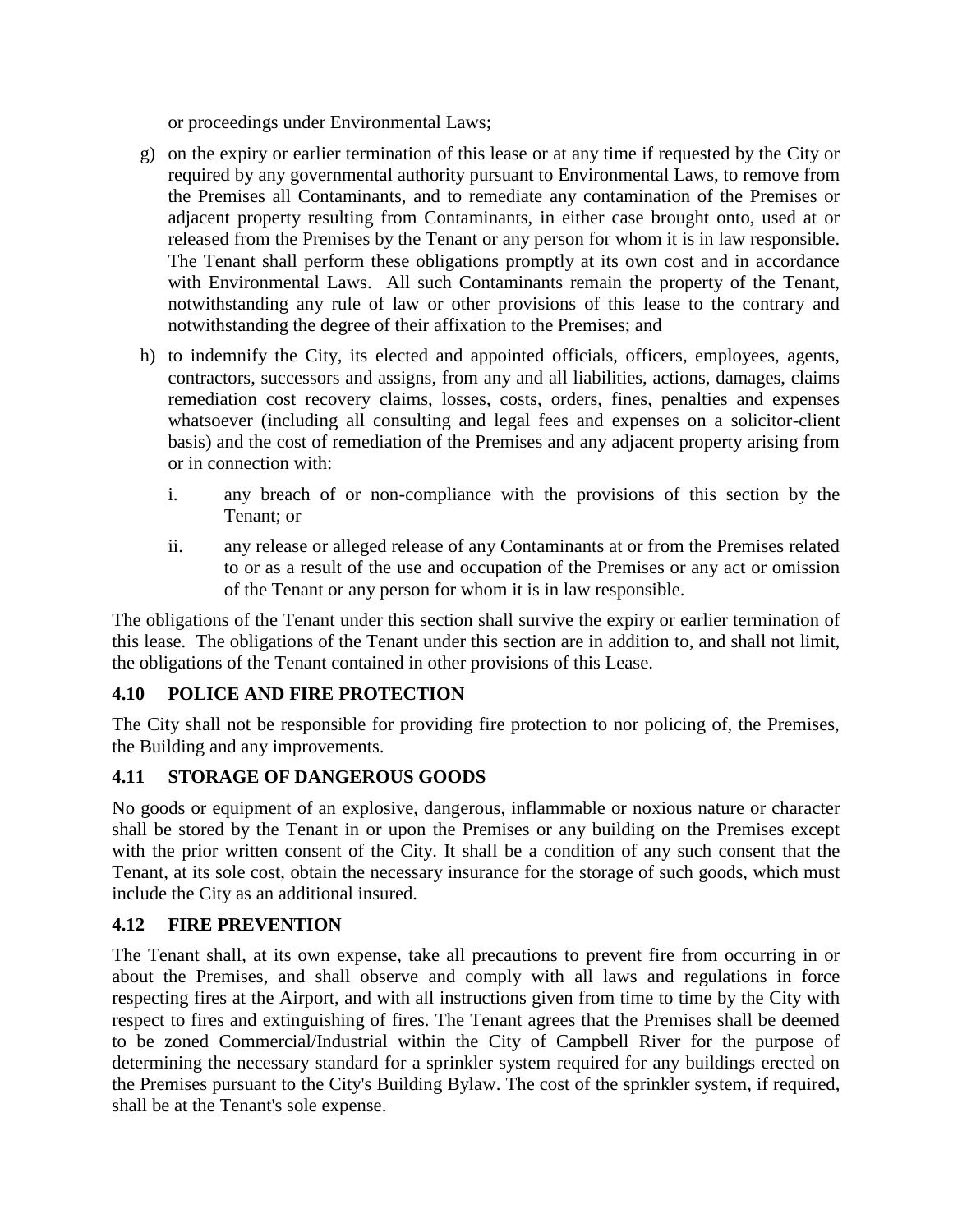or proceedings under Environmental Laws;

- g) on the expiry or earlier termination of this lease or at any time if requested by the City or required by any governmental authority pursuant to Environmental Laws, to remove from the Premises all Contaminants, and to remediate any contamination of the Premises or adjacent property resulting from Contaminants, in either case brought onto, used at or released from the Premises by the Tenant or any person for whom it is in law responsible. The Tenant shall perform these obligations promptly at its own cost and in accordance with Environmental Laws. All such Contaminants remain the property of the Tenant, notwithstanding any rule of law or other provisions of this lease to the contrary and notwithstanding the degree of their affixation to the Premises; and
- h) to indemnify the City, its elected and appointed officials, officers, employees, agents, contractors, successors and assigns, from any and all liabilities, actions, damages, claims remediation cost recovery claims, losses, costs, orders, fines, penalties and expenses whatsoever (including all consulting and legal fees and expenses on a solicitor-client basis) and the cost of remediation of the Premises and any adjacent property arising from or in connection with:
	- i. any breach of or non-compliance with the provisions of this section by the Tenant; or
	- ii. any release or alleged release of any Contaminants at or from the Premises related to or as a result of the use and occupation of the Premises or any act or omission of the Tenant or any person for whom it is in law responsible.

The obligations of the Tenant under this section shall survive the expiry or earlier termination of this lease. The obligations of the Tenant under this section are in addition to, and shall not limit, the obligations of the Tenant contained in other provisions of this Lease.

## **4.10 POLICE AND FIRE PROTECTION**

The City shall not be responsible for providing fire protection to nor policing of, the Premises, the Building and any improvements.

## **4.11 STORAGE OF DANGEROUS GOODS**

No goods or equipment of an explosive, dangerous, inflammable or noxious nature or character shall be stored by the Tenant in or upon the Premises or any building on the Premises except with the prior written consent of the City. It shall be a condition of any such consent that the Tenant, at its sole cost, obtain the necessary insurance for the storage of such goods, which must include the City as an additional insured.

#### **4.12 FIRE PREVENTION**

The Tenant shall, at its own expense, take all precautions to prevent fire from occurring in or about the Premises, and shall observe and comply with all laws and regulations in force respecting fires at the Airport, and with all instructions given from time to time by the City with respect to fires and extinguishing of fires. The Tenant agrees that the Premises shall be deemed to be zoned Commercial/Industrial within the City of Campbell River for the purpose of determining the necessary standard for a sprinkler system required for any buildings erected on the Premises pursuant to the City's Building Bylaw. The cost of the sprinkler system, if required, shall be at the Tenant's sole expense.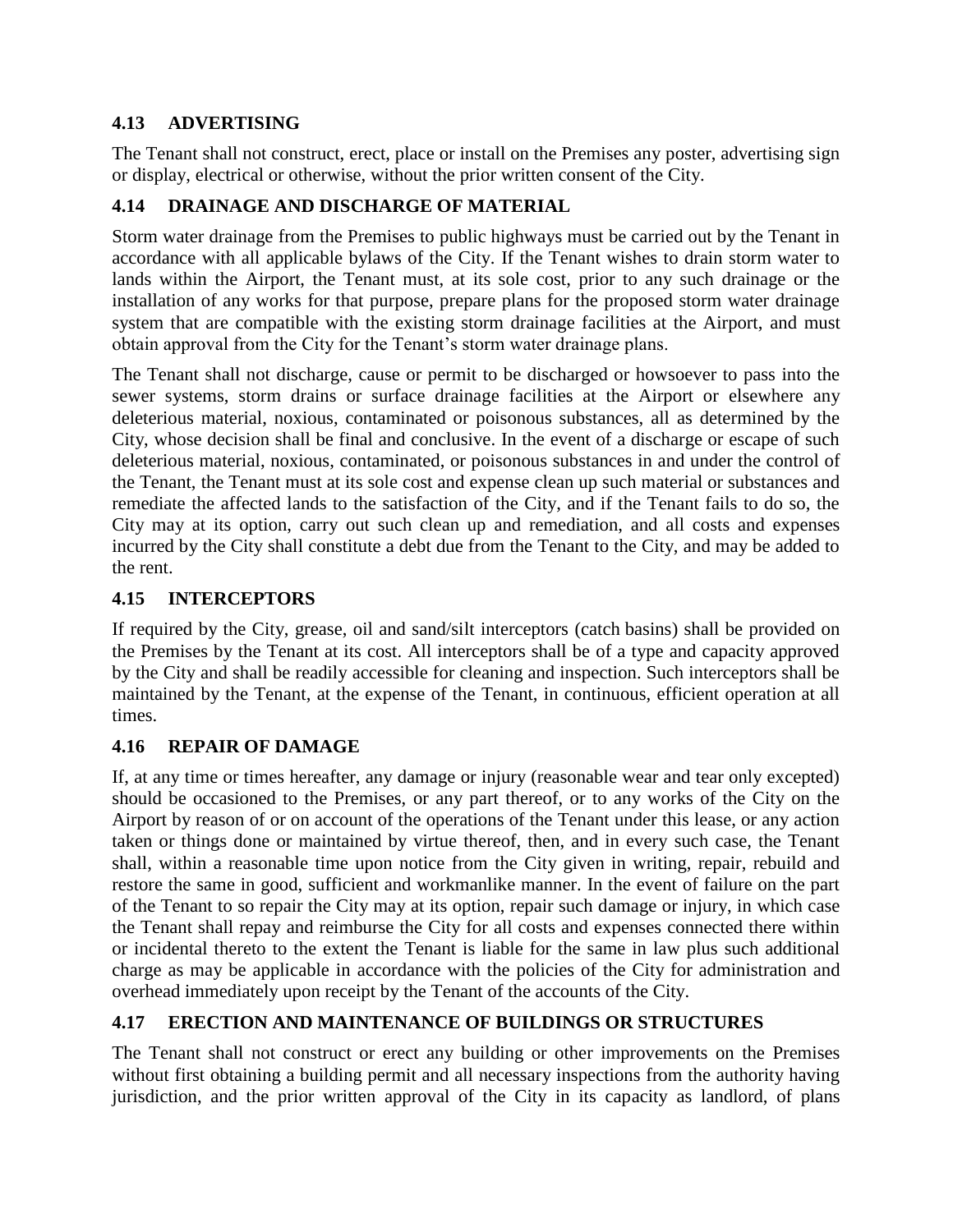## **4.13 ADVERTISING**

The Tenant shall not construct, erect, place or install on the Premises any poster, advertising sign or display, electrical or otherwise, without the prior written consent of the City.

## **4.14 DRAINAGE AND DISCHARGE OF MATERIAL**

Storm water drainage from the Premises to public highways must be carried out by the Tenant in accordance with all applicable bylaws of the City. If the Tenant wishes to drain storm water to lands within the Airport, the Tenant must, at its sole cost, prior to any such drainage or the installation of any works for that purpose, prepare plans for the proposed storm water drainage system that are compatible with the existing storm drainage facilities at the Airport, and must obtain approval from the City for the Tenant's storm water drainage plans.

The Tenant shall not discharge, cause or permit to be discharged or howsoever to pass into the sewer systems, storm drains or surface drainage facilities at the Airport or elsewhere any deleterious material, noxious, contaminated or poisonous substances, all as determined by the City, whose decision shall be final and conclusive. In the event of a discharge or escape of such deleterious material, noxious, contaminated, or poisonous substances in and under the control of the Tenant, the Tenant must at its sole cost and expense clean up such material or substances and remediate the affected lands to the satisfaction of the City, and if the Tenant fails to do so, the City may at its option, carry out such clean up and remediation, and all costs and expenses incurred by the City shall constitute a debt due from the Tenant to the City, and may be added to the rent.

## **4.15 INTERCEPTORS**

If required by the City, grease, oil and sand/silt interceptors (catch basins) shall be provided on the Premises by the Tenant at its cost. All interceptors shall be of a type and capacity approved by the City and shall be readily accessible for cleaning and inspection. Such interceptors shall be maintained by the Tenant, at the expense of the Tenant, in continuous, efficient operation at all times.

## **4.16 REPAIR OF DAMAGE**

If, at any time or times hereafter, any damage or injury (reasonable wear and tear only excepted) should be occasioned to the Premises, or any part thereof, or to any works of the City on the Airport by reason of or on account of the operations of the Tenant under this lease, or any action taken or things done or maintained by virtue thereof, then, and in every such case, the Tenant shall, within a reasonable time upon notice from the City given in writing, repair, rebuild and restore the same in good, sufficient and workmanlike manner. In the event of failure on the part of the Tenant to so repair the City may at its option, repair such damage or injury, in which case the Tenant shall repay and reimburse the City for all costs and expenses connected there within or incidental thereto to the extent the Tenant is liable for the same in law plus such additional charge as may be applicable in accordance with the policies of the City for administration and overhead immediately upon receipt by the Tenant of the accounts of the City.

## **4.17 ERECTION AND MAINTENANCE OF BUILDINGS OR STRUCTURES**

The Tenant shall not construct or erect any building or other improvements on the Premises without first obtaining a building permit and all necessary inspections from the authority having jurisdiction, and the prior written approval of the City in its capacity as landlord, of plans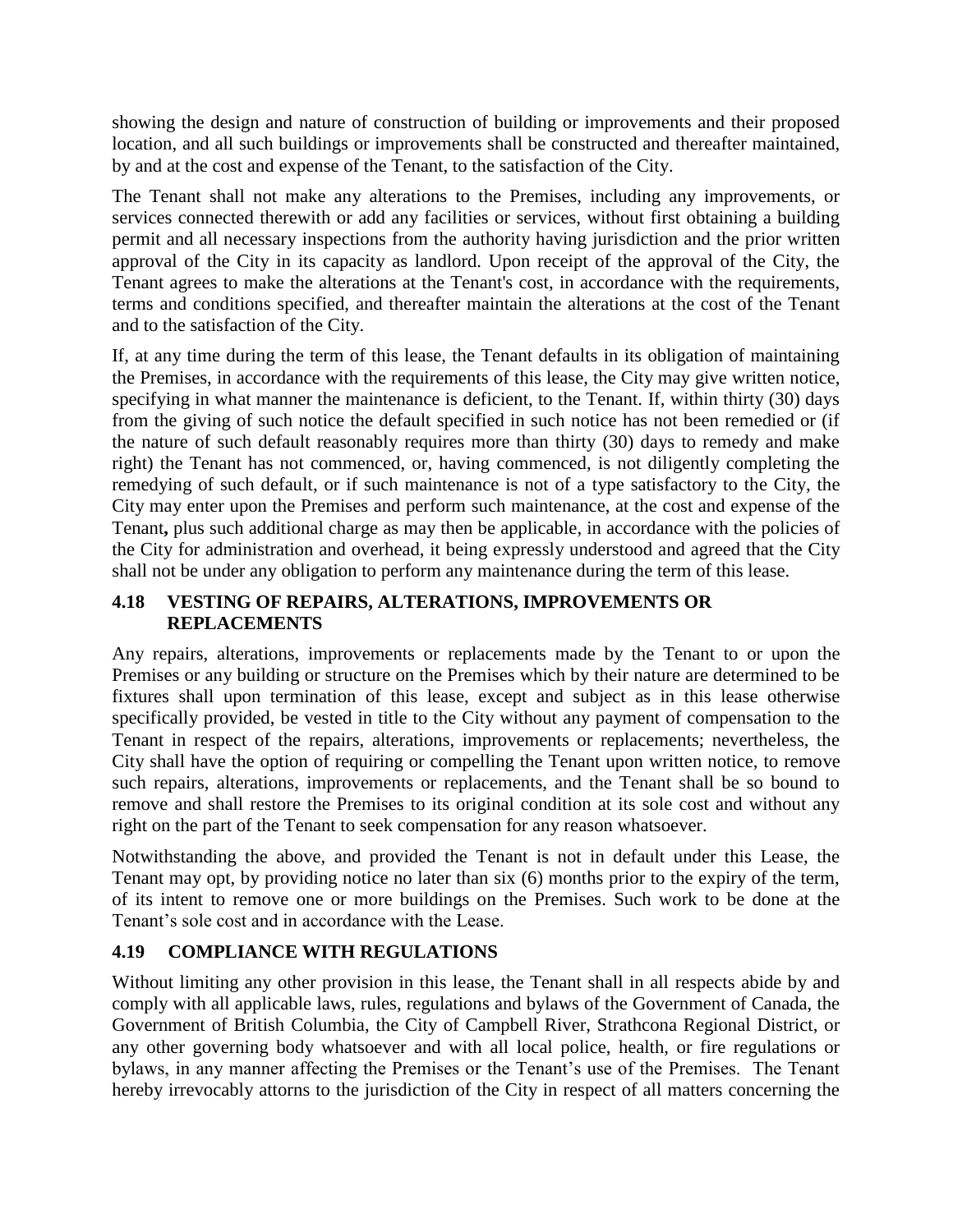showing the design and nature of construction of building or improvements and their proposed location, and all such buildings or improvements shall be constructed and thereafter maintained, by and at the cost and expense of the Tenant, to the satisfaction of the City.

The Tenant shall not make any alterations to the Premises, including any improvements, or services connected therewith or add any facilities or services, without first obtaining a building permit and all necessary inspections from the authority having jurisdiction and the prior written approval of the City in its capacity as landlord. Upon receipt of the approval of the City, the Tenant agrees to make the alterations at the Tenant's cost, in accordance with the requirements, terms and conditions specified, and thereafter maintain the alterations at the cost of the Tenant and to the satisfaction of the City.

If, at any time during the term of this lease, the Tenant defaults in its obligation of maintaining the Premises, in accordance with the requirements of this lease, the City may give written notice, specifying in what manner the maintenance is deficient, to the Tenant. If, within thirty (30) days from the giving of such notice the default specified in such notice has not been remedied or (if the nature of such default reasonably requires more than thirty (30) days to remedy and make right) the Tenant has not commenced, or, having commenced, is not diligently completing the remedying of such default, or if such maintenance is not of a type satisfactory to the City, the City may enter upon the Premises and perform such maintenance, at the cost and expense of the Tenant**,** plus such additional charge as may then be applicable, in accordance with the policies of the City for administration and overhead, it being expressly understood and agreed that the City shall not be under any obligation to perform any maintenance during the term of this lease.

## **4.18 VESTING OF REPAIRS, ALTERATIONS, IMPROVEMENTS OR REPLACEMENTS**

Any repairs, alterations, improvements or replacements made by the Tenant to or upon the Premises or any building or structure on the Premises which by their nature are determined to be fixtures shall upon termination of this lease, except and subject as in this lease otherwise specifically provided, be vested in title to the City without any payment of compensation to the Tenant in respect of the repairs, alterations, improvements or replacements; nevertheless, the City shall have the option of requiring or compelling the Tenant upon written notice, to remove such repairs, alterations, improvements or replacements, and the Tenant shall be so bound to remove and shall restore the Premises to its original condition at its sole cost and without any right on the part of the Tenant to seek compensation for any reason whatsoever.

Notwithstanding the above, and provided the Tenant is not in default under this Lease, the Tenant may opt, by providing notice no later than six (6) months prior to the expiry of the term, of its intent to remove one or more buildings on the Premises. Such work to be done at the Tenant's sole cost and in accordance with the Lease.

## **4.19 COMPLIANCE WITH REGULATIONS**

Without limiting any other provision in this lease, the Tenant shall in all respects abide by and comply with all applicable laws, rules, regulations and bylaws of the Government of Canada, the Government of British Columbia, the City of Campbell River, Strathcona Regional District, or any other governing body whatsoever and with all local police, health, or fire regulations or bylaws, in any manner affecting the Premises or the Tenant's use of the Premises. The Tenant hereby irrevocably attorns to the jurisdiction of the City in respect of all matters concerning the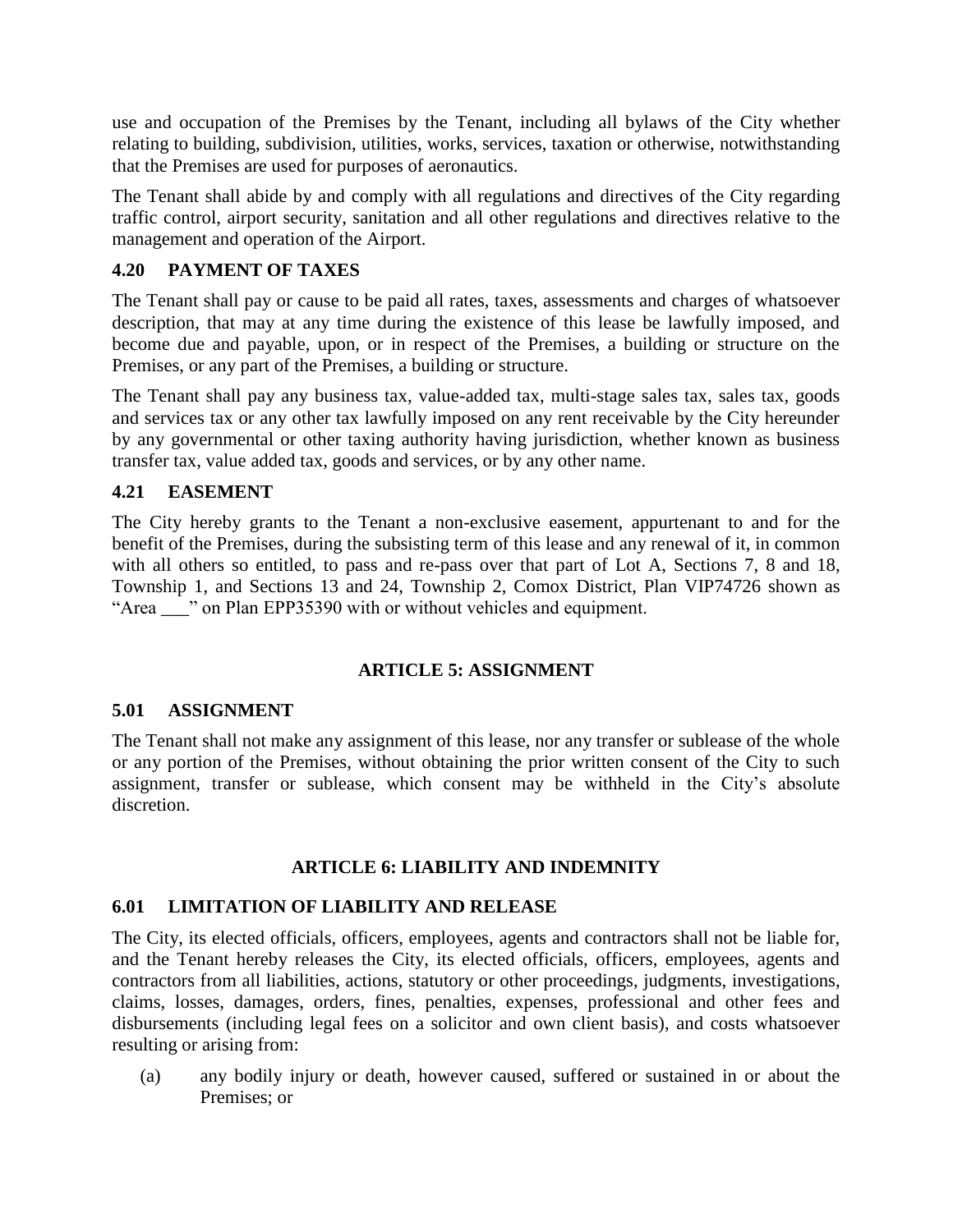use and occupation of the Premises by the Tenant, including all bylaws of the City whether relating to building, subdivision, utilities, works, services, taxation or otherwise, notwithstanding that the Premises are used for purposes of aeronautics.

The Tenant shall abide by and comply with all regulations and directives of the City regarding traffic control, airport security, sanitation and all other regulations and directives relative to the management and operation of the Airport.

## **4.20 PAYMENT OF TAXES**

The Tenant shall pay or cause to be paid all rates, taxes, assessments and charges of whatsoever description, that may at any time during the existence of this lease be lawfully imposed, and become due and payable, upon, or in respect of the Premises, a building or structure on the Premises, or any part of the Premises, a building or structure.

The Tenant shall pay any business tax, value-added tax, multi-stage sales tax, sales tax, goods and services tax or any other tax lawfully imposed on any rent receivable by the City hereunder by any governmental or other taxing authority having jurisdiction, whether known as business transfer tax, value added tax, goods and services, or by any other name.

## **4.21 EASEMENT**

The City hereby grants to the Tenant a non-exclusive easement, appurtenant to and for the benefit of the Premises, during the subsisting term of this lease and any renewal of it, in common with all others so entitled, to pass and re-pass over that part of Lot A, Sections 7, 8 and 18, Township 1, and Sections 13 and 24, Township 2, Comox District, Plan VIP74726 shown as "Area \_\_\_" on Plan EPP35390 with or without vehicles and equipment.

#### **ARTICLE 5: ASSIGNMENT**

#### **5.01 ASSIGNMENT**

The Tenant shall not make any assignment of this lease, nor any transfer or sublease of the whole or any portion of the Premises, without obtaining the prior written consent of the City to such assignment, transfer or sublease, which consent may be withheld in the City's absolute discretion.

#### **ARTICLE 6: LIABILITY AND INDEMNITY**

#### **6.01 LIMITATION OF LIABILITY AND RELEASE**

The City, its elected officials, officers, employees, agents and contractors shall not be liable for, and the Tenant hereby releases the City, its elected officials, officers, employees, agents and contractors from all liabilities, actions, statutory or other proceedings, judgments, investigations, claims, losses, damages, orders, fines, penalties, expenses, professional and other fees and disbursements (including legal fees on a solicitor and own client basis), and costs whatsoever resulting or arising from:

(a) any bodily injury or death, however caused, suffered or sustained in or about the Premises; or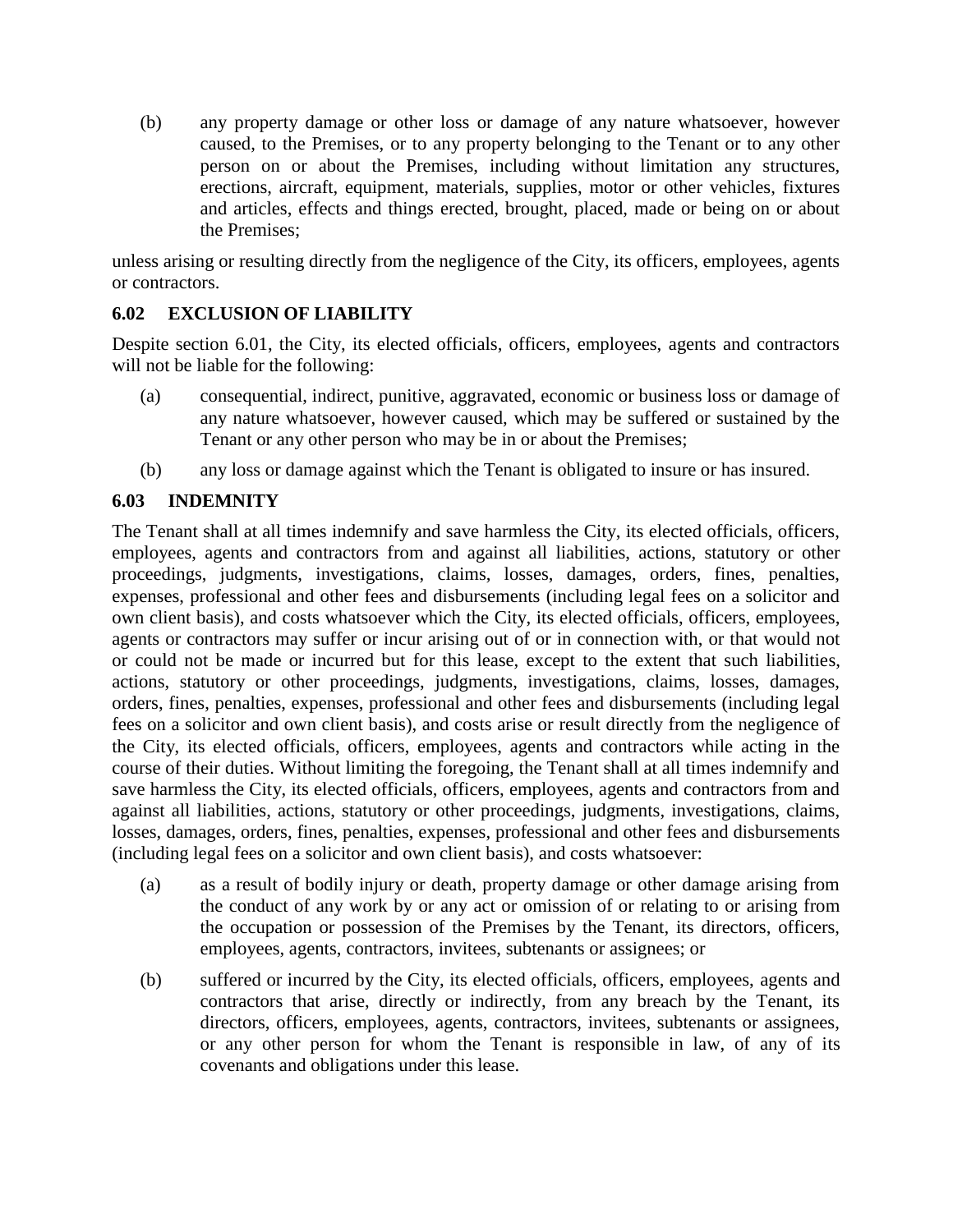(b) any property damage or other loss or damage of any nature whatsoever, however caused, to the Premises, or to any property belonging to the Tenant or to any other person on or about the Premises, including without limitation any structures, erections, aircraft, equipment, materials, supplies, motor or other vehicles, fixtures and articles, effects and things erected, brought, placed, made or being on or about the Premises;

unless arising or resulting directly from the negligence of the City, its officers, employees, agents or contractors.

#### **6.02 EXCLUSION OF LIABILITY**

Despite section 6.01, the City, its elected officials, officers, employees, agents and contractors will not be liable for the following:

- (a) consequential, indirect, punitive, aggravated, economic or business loss or damage of any nature whatsoever, however caused, which may be suffered or sustained by the Tenant or any other person who may be in or about the Premises;
- (b) any loss or damage against which the Tenant is obligated to insure or has insured.

#### **6.03 INDEMNITY**

The Tenant shall at all times indemnify and save harmless the City, its elected officials, officers, employees, agents and contractors from and against all liabilities, actions, statutory or other proceedings, judgments, investigations, claims, losses, damages, orders, fines, penalties, expenses, professional and other fees and disbursements (including legal fees on a solicitor and own client basis), and costs whatsoever which the City, its elected officials, officers, employees, agents or contractors may suffer or incur arising out of or in connection with, or that would not or could not be made or incurred but for this lease, except to the extent that such liabilities, actions, statutory or other proceedings, judgments, investigations, claims, losses, damages, orders, fines, penalties, expenses, professional and other fees and disbursements (including legal fees on a solicitor and own client basis), and costs arise or result directly from the negligence of the City, its elected officials, officers, employees, agents and contractors while acting in the course of their duties. Without limiting the foregoing, the Tenant shall at all times indemnify and save harmless the City, its elected officials, officers, employees, agents and contractors from and against all liabilities, actions, statutory or other proceedings, judgments, investigations, claims, losses, damages, orders, fines, penalties, expenses, professional and other fees and disbursements (including legal fees on a solicitor and own client basis), and costs whatsoever:

- (a) as a result of bodily injury or death, property damage or other damage arising from the conduct of any work by or any act or omission of or relating to or arising from the occupation or possession of the Premises by the Tenant, its directors, officers, employees, agents, contractors, invitees, subtenants or assignees; or
- (b) suffered or incurred by the City, its elected officials, officers, employees, agents and contractors that arise, directly or indirectly, from any breach by the Tenant, its directors, officers, employees, agents, contractors, invitees, subtenants or assignees, or any other person for whom the Tenant is responsible in law, of any of its covenants and obligations under this lease.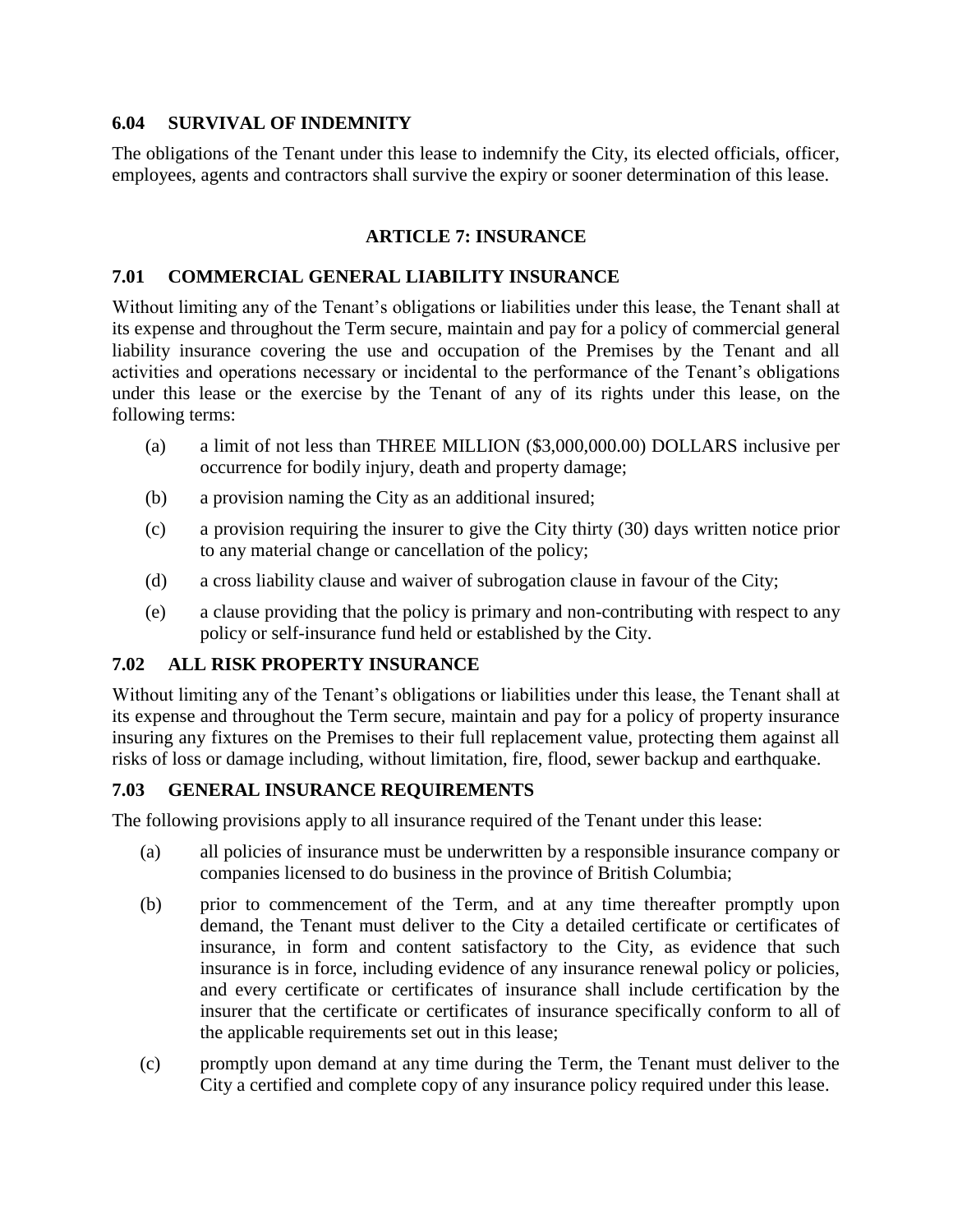#### **6.04 SURVIVAL OF INDEMNITY**

The obligations of the Tenant under this lease to indemnify the City, its elected officials, officer, employees, agents and contractors shall survive the expiry or sooner determination of this lease.

#### **ARTICLE 7: INSURANCE**

#### **7.01 COMMERCIAL GENERAL LIABILITY INSURANCE**

Without limiting any of the Tenant's obligations or liabilities under this lease, the Tenant shall at its expense and throughout the Term secure, maintain and pay for a policy of commercial general liability insurance covering the use and occupation of the Premises by the Tenant and all activities and operations necessary or incidental to the performance of the Tenant's obligations under this lease or the exercise by the Tenant of any of its rights under this lease, on the following terms:

- (a) a limit of not less than THREE MILLION (\$3,000,000.00) DOLLARS inclusive per occurrence for bodily injury, death and property damage;
- (b) a provision naming the City as an additional insured;
- (c) a provision requiring the insurer to give the City thirty (30) days written notice prior to any material change or cancellation of the policy;
- (d) a cross liability clause and waiver of subrogation clause in favour of the City;
- (e) a clause providing that the policy is primary and non-contributing with respect to any policy or self-insurance fund held or established by the City.

#### **7.02 ALL RISK PROPERTY INSURANCE**

Without limiting any of the Tenant's obligations or liabilities under this lease, the Tenant shall at its expense and throughout the Term secure, maintain and pay for a policy of property insurance insuring any fixtures on the Premises to their full replacement value, protecting them against all risks of loss or damage including, without limitation, fire, flood, sewer backup and earthquake.

## **7.03 GENERAL INSURANCE REQUIREMENTS**

The following provisions apply to all insurance required of the Tenant under this lease:

- (a) all policies of insurance must be underwritten by a responsible insurance company or companies licensed to do business in the province of British Columbia;
- (b) prior to commencement of the Term, and at any time thereafter promptly upon demand, the Tenant must deliver to the City a detailed certificate or certificates of insurance, in form and content satisfactory to the City, as evidence that such insurance is in force, including evidence of any insurance renewal policy or policies, and every certificate or certificates of insurance shall include certification by the insurer that the certificate or certificates of insurance specifically conform to all of the applicable requirements set out in this lease;
- (c) promptly upon demand at any time during the Term, the Tenant must deliver to the City a certified and complete copy of any insurance policy required under this lease.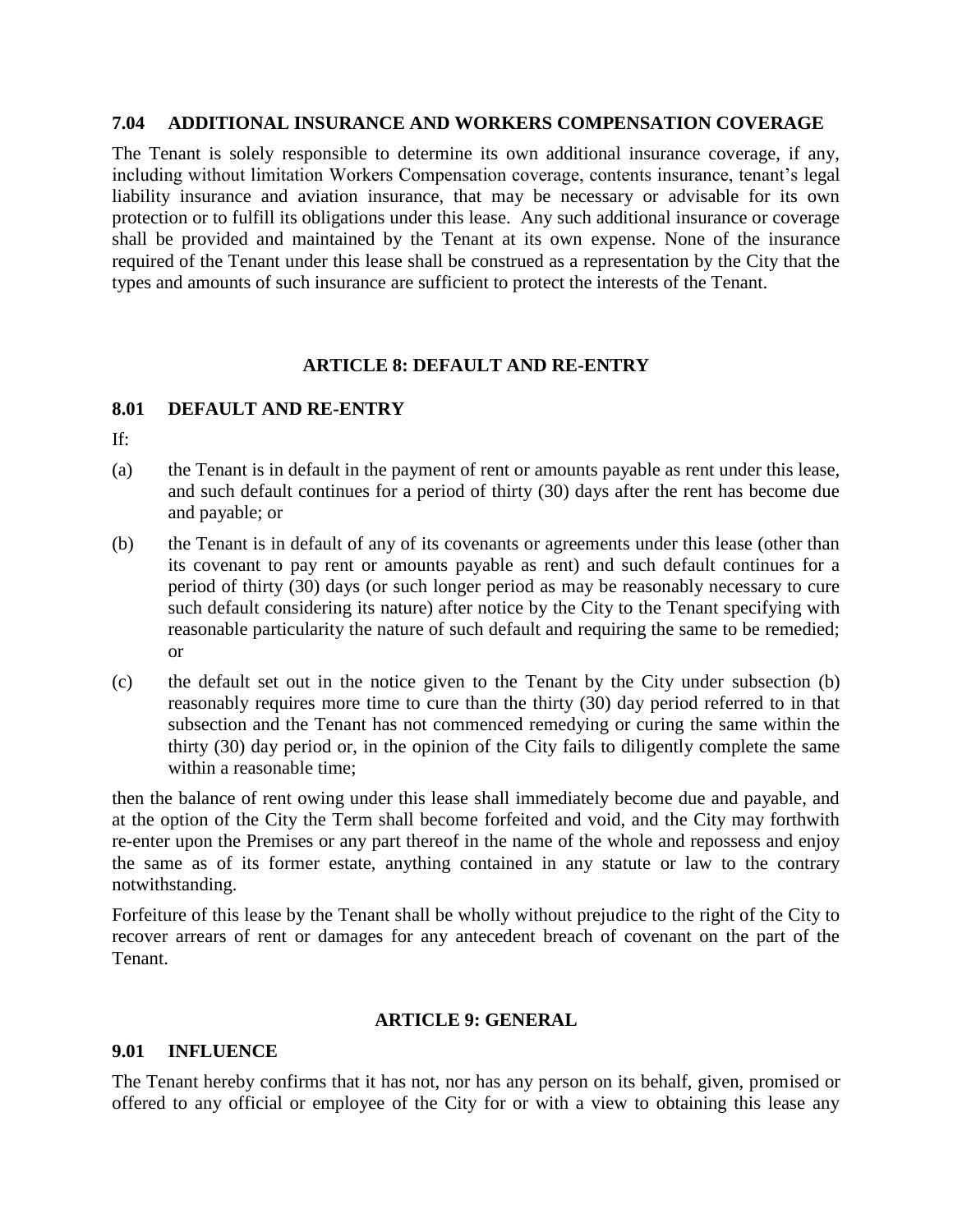#### **7.04 ADDITIONAL INSURANCE AND WORKERS COMPENSATION COVERAGE**

The Tenant is solely responsible to determine its own additional insurance coverage, if any, including without limitation Workers Compensation coverage, contents insurance, tenant's legal liability insurance and aviation insurance, that may be necessary or advisable for its own protection or to fulfill its obligations under this lease. Any such additional insurance or coverage shall be provided and maintained by the Tenant at its own expense. None of the insurance required of the Tenant under this lease shall be construed as a representation by the City that the types and amounts of such insurance are sufficient to protect the interests of the Tenant.

#### **ARTICLE 8: DEFAULT AND RE-ENTRY**

#### **8.01 DEFAULT AND RE-ENTRY**

If:

- (a) the Tenant is in default in the payment of rent or amounts payable as rent under this lease, and such default continues for a period of thirty (30) days after the rent has become due and payable; or
- (b) the Tenant is in default of any of its covenants or agreements under this lease (other than its covenant to pay rent or amounts payable as rent) and such default continues for a period of thirty (30) days (or such longer period as may be reasonably necessary to cure such default considering its nature) after notice by the City to the Tenant specifying with reasonable particularity the nature of such default and requiring the same to be remedied; or
- (c) the default set out in the notice given to the Tenant by the City under subsection (b) reasonably requires more time to cure than the thirty (30) day period referred to in that subsection and the Tenant has not commenced remedying or curing the same within the thirty (30) day period or, in the opinion of the City fails to diligently complete the same within a reasonable time;

then the balance of rent owing under this lease shall immediately become due and payable, and at the option of the City the Term shall become forfeited and void, and the City may forthwith re-enter upon the Premises or any part thereof in the name of the whole and repossess and enjoy the same as of its former estate, anything contained in any statute or law to the contrary notwithstanding.

Forfeiture of this lease by the Tenant shall be wholly without prejudice to the right of the City to recover arrears of rent or damages for any antecedent breach of covenant on the part of the Tenant.

#### **ARTICLE 9: GENERAL**

#### **9.01 INFLUENCE**

The Tenant hereby confirms that it has not, nor has any person on its behalf, given, promised or offered to any official or employee of the City for or with a view to obtaining this lease any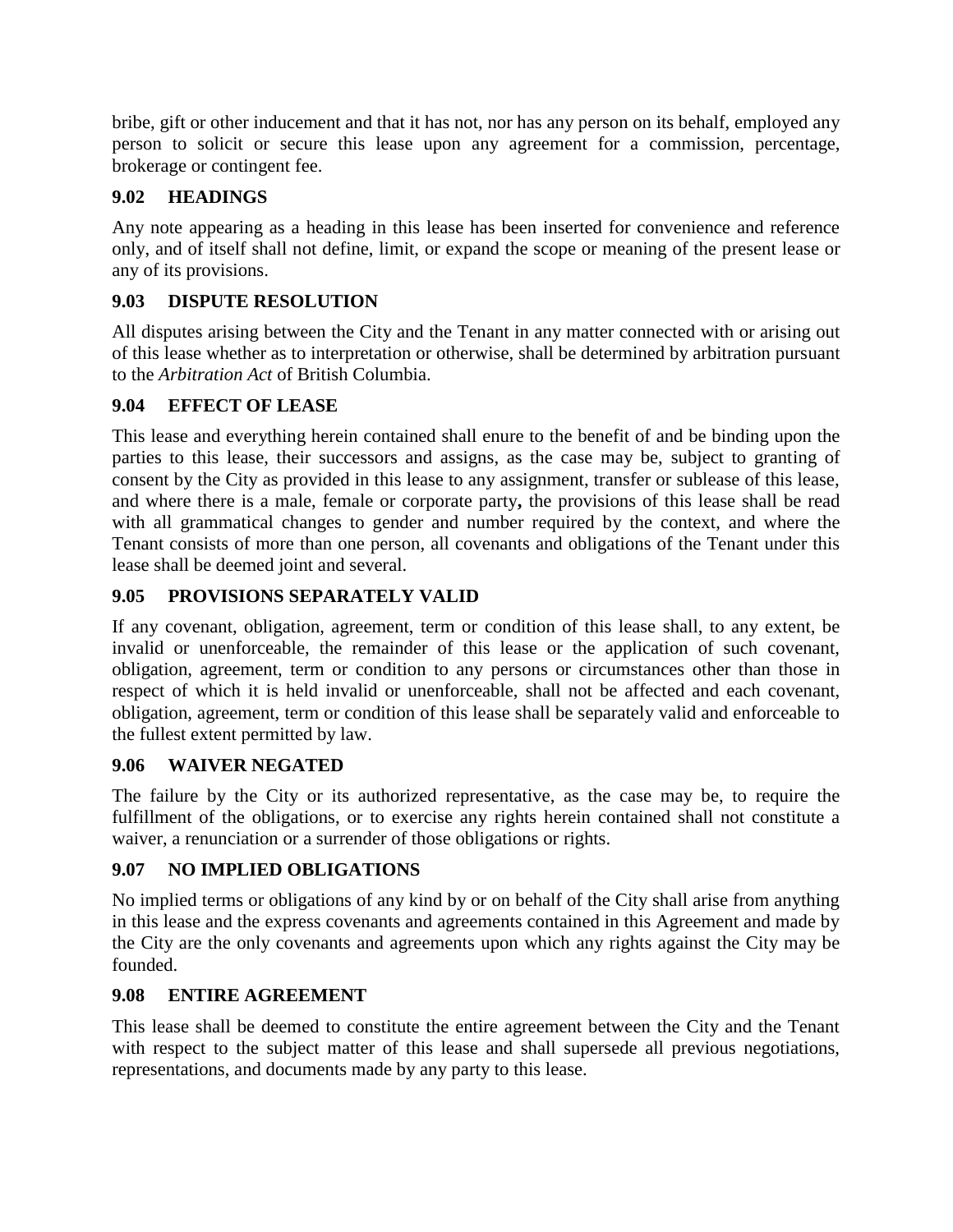bribe, gift or other inducement and that it has not, nor has any person on its behalf, employed any person to solicit or secure this lease upon any agreement for a commission, percentage, brokerage or contingent fee.

## **9.02 HEADINGS**

Any note appearing as a heading in this lease has been inserted for convenience and reference only, and of itself shall not define, limit, or expand the scope or meaning of the present lease or any of its provisions.

## **9.03 DISPUTE RESOLUTION**

All disputes arising between the City and the Tenant in any matter connected with or arising out of this lease whether as to interpretation or otherwise, shall be determined by arbitration pursuant to the *Arbitration Act* of British Columbia.

## **9.04 EFFECT OF LEASE**

This lease and everything herein contained shall enure to the benefit of and be binding upon the parties to this lease, their successors and assigns, as the case may be, subject to granting of consent by the City as provided in this lease to any assignment, transfer or sublease of this lease, and where there is a male, female or corporate party**,** the provisions of this lease shall be read with all grammatical changes to gender and number required by the context, and where the Tenant consists of more than one person, all covenants and obligations of the Tenant under this lease shall be deemed joint and several.

## **9.05 PROVISIONS SEPARATELY VALID**

If any covenant, obligation, agreement, term or condition of this lease shall, to any extent, be invalid or unenforceable, the remainder of this lease or the application of such covenant, obligation, agreement, term or condition to any persons or circumstances other than those in respect of which it is held invalid or unenforceable, shall not be affected and each covenant, obligation, agreement, term or condition of this lease shall be separately valid and enforceable to the fullest extent permitted by law.

#### **9.06 WAIVER NEGATED**

The failure by the City or its authorized representative, as the case may be, to require the fulfillment of the obligations, or to exercise any rights herein contained shall not constitute a waiver, a renunciation or a surrender of those obligations or rights.

## **9.07 NO IMPLIED OBLIGATIONS**

No implied terms or obligations of any kind by or on behalf of the City shall arise from anything in this lease and the express covenants and agreements contained in this Agreement and made by the City are the only covenants and agreements upon which any rights against the City may be founded.

## **9.08 ENTIRE AGREEMENT**

This lease shall be deemed to constitute the entire agreement between the City and the Tenant with respect to the subject matter of this lease and shall supersede all previous negotiations, representations, and documents made by any party to this lease.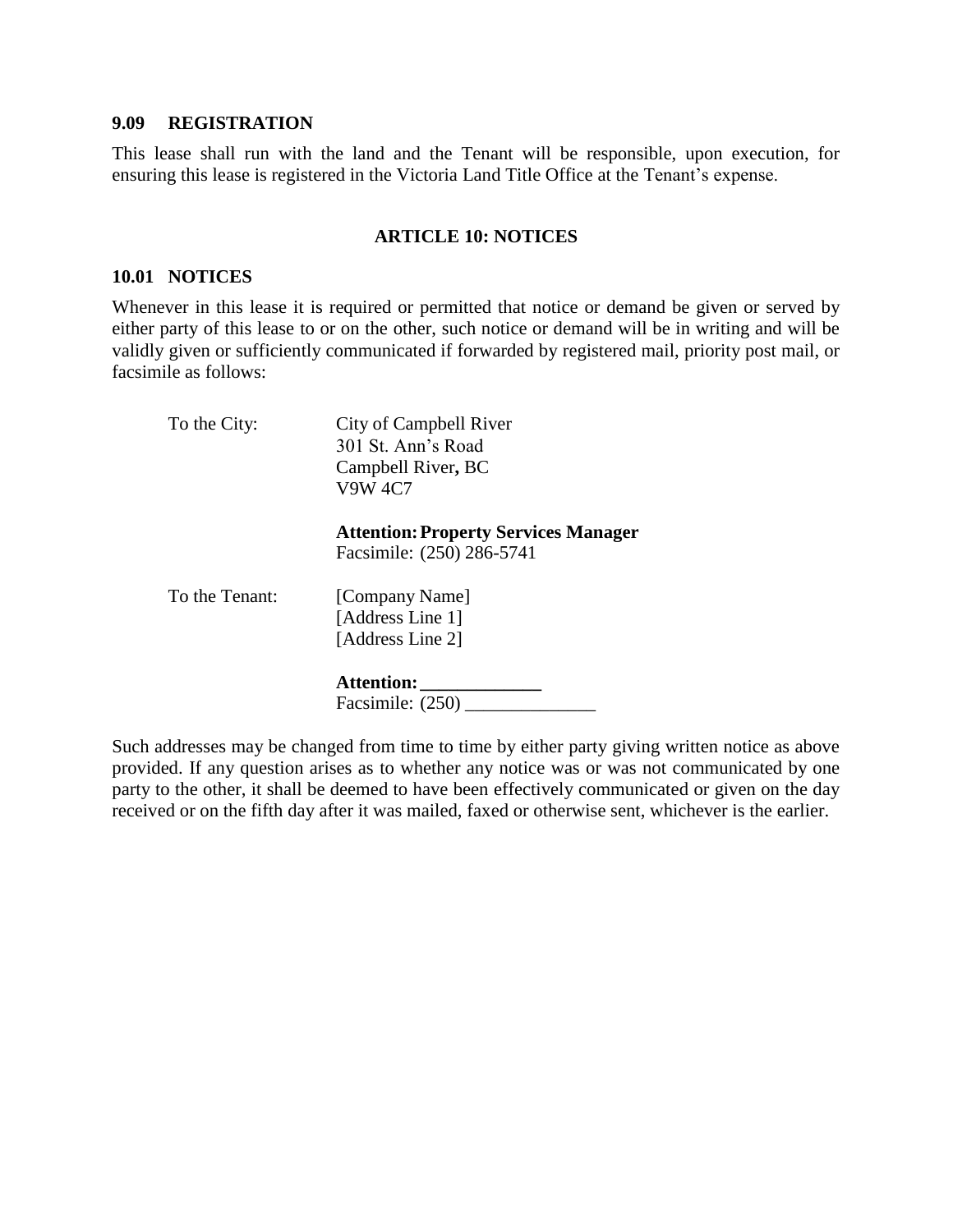#### **9.09 REGISTRATION**

This lease shall run with the land and the Tenant will be responsible, upon execution, for ensuring this lease is registered in the Victoria Land Title Office at the Tenant's expense.

#### **ARTICLE 10: NOTICES**

#### **10.01 NOTICES**

Whenever in this lease it is required or permitted that notice or demand be given or served by either party of this lease to or on the other, such notice or demand will be in writing and will be validly given or sufficiently communicated if forwarded by registered mail, priority post mail, or facsimile as follows:

| To the City:   | City of Campbell River<br>301 St. Ann's Road<br>Campbell River, BC<br><b>V9W 4C7</b> |
|----------------|--------------------------------------------------------------------------------------|
|                | <b>Attention: Property Services Manager</b><br>Facsimile: (250) 286-5741             |
| To the Tenant: | [Company Name]<br>[Address Line 1]<br>[Address Line 2]                               |
|                | <b>Attention:</b><br>Facsimile: (250)                                                |

Such addresses may be changed from time to time by either party giving written notice as above provided. If any question arises as to whether any notice was or was not communicated by one party to the other, it shall be deemed to have been effectively communicated or given on the day received or on the fifth day after it was mailed, faxed or otherwise sent, whichever is the earlier.